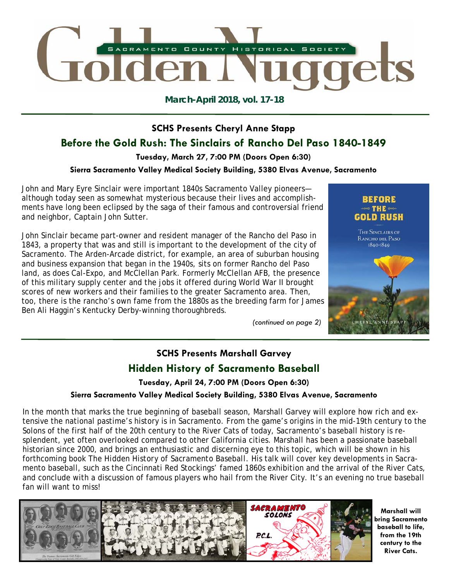

**March-April 2018, vol. 17-18** 

# **SCHS Presents Cheryl Anne Stapp**

# **Before the Gold Rush: The Sinclairs of Rancho Del Paso 1840-1849**

**Tuesday, March 27, 7:00 PM (Doors Open 6:30)** 

### **Sierra Sacramento Valley Medical Society Building, 5380 Elvas Avenue, Sacramento**

John and Mary Eyre Sinclair were important 1840s Sacramento Valley pioneers although today seen as somewhat mysterious because their lives and accomplishments have long been eclipsed by the saga of their famous and controversial friend and neighbor, Captain John Sutter.

John Sinclair became part-owner and resident manager of the Rancho del Paso in 1843, a property that was and still is important to the development of the city of Sacramento. The Arden-Arcade district, for example, an area of suburban housing and business expansion that began in the 1940s, sits on former Rancho del Paso land, as does Cal-Expo, and McClellan Park. Formerly McClellan AFB, the presence of this military supply center and the jobs it offered during World War II brought scores of new workers and their families to the greater Sacramento area. Then, too, there is the rancho's own fame from the 1880s as the breeding farm for James Ben Ali Haggin's Kentucky Derby-winning thoroughbreds.

*(continued on page 2)* 



# **SCHS Presents Marshall Garvey Hidden History of Sacramento Baseball**

**Tuesday, April 24, 7:00 PM (Doors Open 6:30)** 

## **Sierra Sacramento Valley Medical Society Building, 5380 Elvas Avenue, Sacramento**

In the month that marks the true beginning of baseball season, Marshall Garvey will explore how rich and extensive the national pastime's history is in Sacramento. From the game's origins in the mid-19th century to the Solons of the first half of the 20th century to the River Cats of today, Sacramento's baseball history is resplendent, yet often overlooked compared to other California cities. Marshall has been a passionate baseball historian since 2000, and brings an enthusiastic and discerning eye to this topic, which will be shown in his forthcoming book *The Hidden History of Sacramento Baseball*. His talk will cover key developments in Sacramento baseball, such as the Cincinnati Red Stockings' famed 1860s exhibition and the arrival of the River Cats, and conclude with a discussion of famous players who hail from the River City. It's an evening no true baseball fan will want to miss!



**Marshall will bring Sacramento baseball to life, from the 19th century to the River Cats.**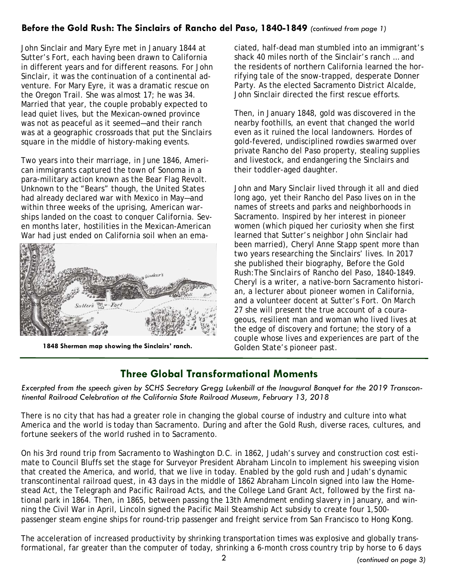## **Before the Gold Rush: The Sinclairs of Rancho del Paso, 1840-1849** *(continued from page 1)*

John Sinclair and Mary Eyre met in January 1844 at Sutter's Fort, each having been drawn to California in different years and for different reasons. For John Sinclair, it was the continuation of a continental adventure. For Mary Eyre, it was a dramatic rescue on the Oregon Trail. She was almost 17; he was 34. Married that year, the couple probably expected to lead quiet lives, but the Mexican-owned province was not as peaceful as it seemed—and their ranch was at a geographic crossroads that put the Sinclairs square in the middle of history-making events.

Two years into their marriage, in June 1846, American immigrants captured the town of Sonoma in a para-military action known as the Bear Flag Revolt. Unknown to the "Bears" though, the United States had already declared war with Mexico in May—and within three weeks of the uprising, American warships landed on the coast to conquer California. Seven months later, hostilities in the Mexican-American War had just ended on California soil when an ema-



1848 Sherman map showing the Sinclairs' ranch. **1848 Sherman map showing the Sinclairs' ranch.** Golden State's pioneer past.

ciated, half-dead man stumbled into an immigrant's shack 40 miles north of the Sinclair's ranch … and the residents of northern California learned the horrifying tale of the snow-trapped, desperate Donner Party. As the elected Sacramento District Alcalde, John Sinclair directed the first rescue efforts.

Then, in January 1848, gold was discovered in the nearby foothills, an event that changed the world even as it ruined the local landowners. Hordes of gold-fevered, undisciplined rowdies swarmed over private Rancho del Paso property, stealing supplies and livestock, and endangering the Sinclairs and their toddler-aged daughter.

John and Mary Sinclair lived through it all and died long ago, yet their Rancho del Paso lives on in the names of streets and parks and neighborhoods in Sacramento. Inspired by her interest in pioneer women (which piqued her curiosity when she first learned that Sutter's neighbor John Sinclair had been married), Cheryl Anne Stapp spent more than two years researching the Sinclairs' lives. In 2017 she published their biography, *Before the Gold Rush:The Sinclairs of Rancho del Paso, 1840-1849*. Cheryl is a writer, a native-born Sacramento historian, a lecturer about pioneer women in California, and a volunteer docent at Sutter's Fort. On March 27 she will present the true account of a courageous, resilient man and woman who lived lives at the edge of discovery and fortune; the story of a couple whose lives and experiences are part of the

## **Three Global Transformational Moments**

*Excerpted from the speech given by SCHS Secretary Gregg Lukenbill at the Inaugural Banquet for the 2019 Transcontinental Railroad Celebration at the California State Railroad Museum, February 13, 2018* 

There is no city that has had a greater role in changing the global course of industry and culture into what America and the world is today than Sacramento. During and after the Gold Rush, diverse races, cultures, and fortune seekers of the world rushed in to Sacramento.

On his 3rd round trip from Sacramento to Washington D.C. in 1862, Judah's survey and construction cost estimate to Council Bluffs set the stage for Surveyor President Abraham Lincoln to implement his sweeping vision that created the America, and world, that we live in today. Enabled by the gold rush and Judah's dynamic transcontinental railroad quest, in 43 days in the middle of 1862 Abraham Lincoln signed into law the Homestead Act, the Telegraph and Pacific Railroad Acts, and the College Land Grant Act, followed by the first national park in 1864. Then, in 1865, between passing the 13th Amendment ending slavery in January, and winning the Civil War in April, Lincoln signed the Pacific Mail Steamship Act subsidy to create four 1,500 passenger steam engine ships for round-trip passenger and freight service from San Francisco to Hong Kong.

The acceleration of increased productivity by shrinking transportation times was explosive and globally transformational, far greater than the computer of today, shrinking a 6-month cross country trip by horse to 6 days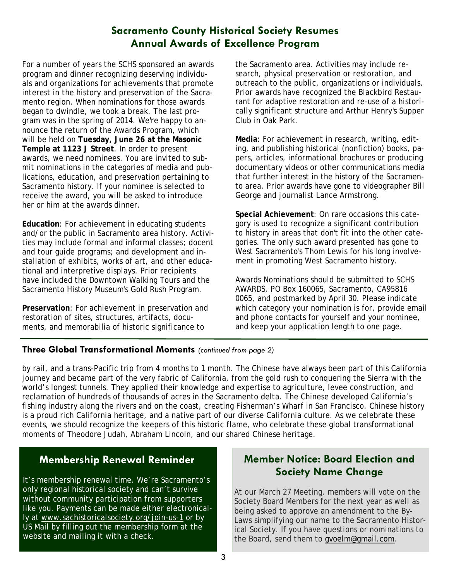## **Sacramento County Historical Society Resumes Annual Awards of Excellence Program**

For a number of years the SCHS sponsored an awards program and dinner recognizing deserving individuals and organizations for achievements that promote interest in the history and preservation of the Sacramento region. When nominations for those awards began to dwindle, we took a break. The last program was in the spring of 2014. We're happy to announce the return of the Awards Program, which will be held on **Tuesday, June 26 at the Masonic Temple at 1123 J Street**. In order to present awards, we need nominees. You are invited to submit nominations in the categories of media and publications, education, and preservation pertaining to Sacramento history. If your nominee is selected to receive the award, you will be asked to introduce her or him at the awards dinner.

**Education**: For achievement in educating students and/or the public in Sacramento area history. Activities may include formal and informal classes; docent and tour guide programs; and development and installation of exhibits, works of art, and other educational and interpretive displays. Prior recipients have included the Downtown Walking Tours and the Sacramento History Museum's Gold Rush Program.

**Preservation**: For achievement in preservation and restoration of sites, structures, artifacts, documents, and memorabilia of historic significance to

the Sacramento area. Activities may include research, physical preservation or restoration, and outreach to the public, organizations or individuals. Prior awards have recognized the Blackbird Restaurant for adaptive restoration and re-use of a historically significant structure and Arthur Henry's Supper Club in Oak Park.

**Media**: For achievement in research, writing, editing, and publishing historical (nonfiction) books, papers, articles, informational brochures or producing documentary videos or other communications media that further interest in the history of the Sacramento area. Prior awards have gone to videographer Bill George and journalist Lance Armstrong.

**Special Achievement**: On rare occasions this category is used to recognize a significant contribution to history in areas that don't fit into the other categories. The only such award presented has gone to West Sacramento's Thom Lewis for his long involvement in promoting West Sacramento history.

Awards Nominations should be submitted to SCHS AWARDS, PO Box 160065, Sacramento, CA95816 0065, and postmarked by April 30. Please indicate which category your nomination is for, provide email and phone contacts for yourself and your nominee, and keep your application length to one page.

### **Three Global Transformational Moments** *(continued from page 2)*

by rail, and a trans-Pacific trip from 4 months to 1 month. The Chinese have always been part of this California journey and became part of the very fabric of California, from the gold rush to conquering the Sierra with the world's longest tunnels. They applied their knowledge and expertise to agriculture, levee construction, and reclamation of hundreds of thousands of acres in the Sacramento delta. The Chinese developed California's fishing industry along the rivers and on the coast, creating Fisherman's Wharf in San Francisco. Chinese history is a proud rich California heritage, and a native part of our diverse California culture. As we celebrate these events, we should recognize the keepers of this historic flame, who celebrate these global transformational moments of Theodore Judah, Abraham Lincoln, and our shared Chinese heritage.

## **Membership Renewal Reminder**

It's membership renewal time. We're Sacramento's only regional historical society and can't survive without community participation from supporters like you. Payments can be made either electronically at www.sachistoricalsociety.org/join-us-1 or by US Mail by filling out the membership form at the website and mailing it with a check.

## **Member Notice: Board Election and Society Name Change**

At our March 27 Meeting, members will vote on the Society Board Members for the next year as well as being asked to approve an amendment to the By-Laws simplifying our name to the Sacramento Historical Society. If you have questions or nominations to the Board, send them to gvoelm@gmail.com.